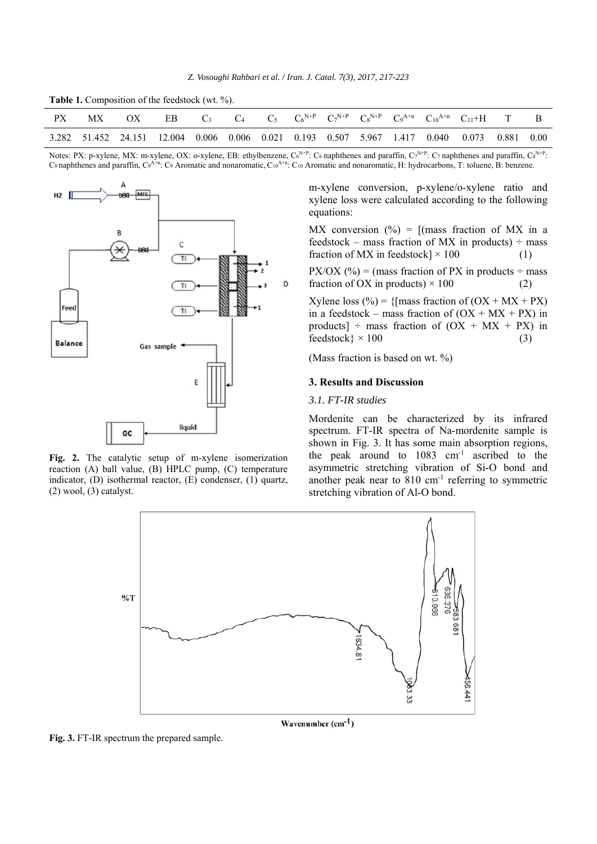|  |  | Table 1. Composition of the feedstock (wt. %). |  |  |
|--|--|------------------------------------------------|--|--|
|--|--|------------------------------------------------|--|--|

| PX | MX OX EB C <sub>3</sub> C <sub>4</sub> C <sub>5</sub> C <sub>6</sub> <sup>N+P</sup> C <sub>7</sub> <sup>N+P</sup> C <sub>8</sub> <sup>N+P</sup> C <sub>9</sub> <sup>A+n</sup> C <sub>10</sub> <sup>A+n</sup> C <sub>11</sub> +H T B |  |  |  |  |  |  |
|----|-------------------------------------------------------------------------------------------------------------------------------------------------------------------------------------------------------------------------------------|--|--|--|--|--|--|
|    | 3.282 51.452 24.151 12.004 0.006 0.006 0.021 0.193 0.507 5.967 1.417 0.040 0.073 0.881 0.00                                                                                                                                         |  |  |  |  |  |  |

Notes: PX: p-xylene, MX: m-xylene, OX: o-xylene, EB: ethylbenzene,  $C_6^{N+P}$ :  $C_6$  naphthenes and paraffin,  $C_7^{N+P}$ :  $C_7$  naphthenes and paraffin,  $C_8^{N+P}$ :  $C_8$  naphthenes and paraffin,  $C_9$ <sup>A+n</sup>:  $C_9$  Aromatic and nonaromatic,  $C_{10}$ <sup>A+n</sup>:  $C_{10}$  Aromatic and nonaromatic, H: hydrocarbons, T: toluene, B: benzene.



**Fig. 2.** The catalytic setup of m-xylene isomerization reaction (A) ball value, (B) HPLC pump, (C) temperature indicator, (D) isothermal reactor, (E) condenser, (1) quartz, (2) wool, (3) catalyst.

m-xylene conversion, p-xylene/o-xylene ratio and xylene loss were calculated according to the following equations:

MX conversion  $\left(\frac{0}{0}\right)$  = [(mass fraction of MX in a feedstock – mass fraction of MX in products)  $\div$  mass fraction of MX in feedstock]  $\times$  100 (1)

PX/OX (%) = (mass fraction of PX in products  $\div$  mass fraction of OX in products)  $\times$  100 (2)

Xylene loss (%) = { ${\rm [mass\ fraction\ of\ (OX + MX +PX)}$ in a feedstock – mass fraction of  $(OX + MX +PX)$  in products]  $\div$  mass fraction of (OX + MX + PX) in  $feedback\} \times 100$  (3)

(Mass fraction is based on wt. %)

### **3. Results and Discussion**

# *3.1. FT-IR studies*

Mordenite can be characterized by its infrared spectrum. FT-IR spectra of Na-mordenite sample is shown in Fig. 3. It has some main absorption regions, the peak around to 1083 cm-1 ascribed to the asymmetric stretching vibration of Si-O bond and another peak near to  $810 \text{ cm}^{-1}$  referring to symmetric stretching vibration of Al-O bond.



**Fig. 3.** FT-IR spectrum the prepared sample.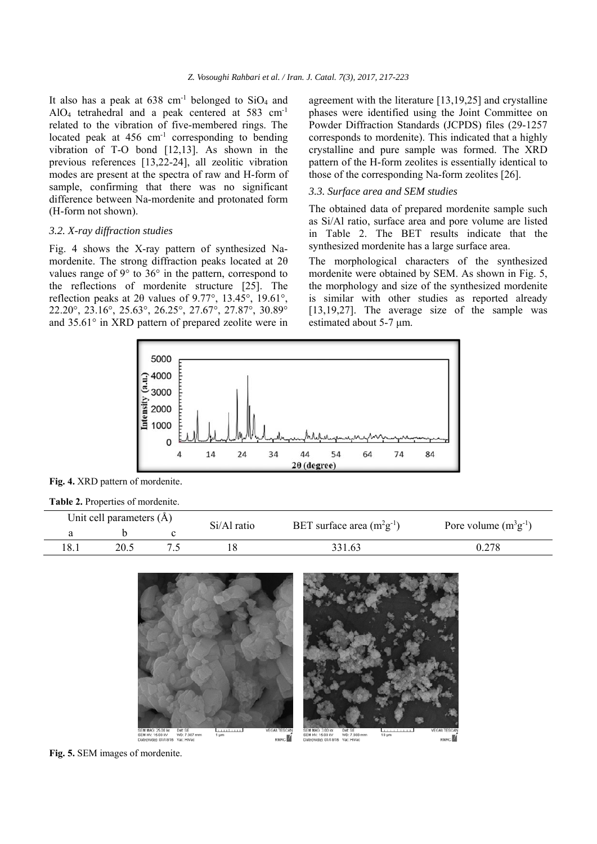It also has a peak at  $638 \text{ cm}^{-1}$  belonged to  $SiO<sub>4</sub>$  and AlO4 tetrahedral and a peak centered at 583 cm-1 related to the vibration of five-membered rings. The located peak at  $456 \text{ cm}^{-1}$  corresponding to bending vibration of T-O bond [12,13]. As shown in the previous references [13,22-24], all zeolitic vibration modes are present at the spectra of raw and H-form of sample, confirming that there was no significant difference between Na-mordenite and protonated form (H-form not shown).

### *3.2. X-ray diffraction studies*

Fig. 4 shows the X-ray pattern of synthesized Namordenite. The strong diffraction peaks located at 2θ values range of  $9^{\circ}$  to  $36^{\circ}$  in the pattern, correspond to the reflections of mordenite structure [25]. The reflection peaks at 2θ values of 9.77°, 13.45°, 19.61°, 22.20°, 23.16°, 25.63°, 26.25°, 27.67°, 27.87°, 30.89° and 35.61° in XRD pattern of prepared zeolite were in agreement with the literature [13,19,25] and crystalline phases were identified using the Joint Committee on Powder Diffraction Standards (JCPDS) files (29-1257 corresponds to mordenite). This indicated that a highly crystalline and pure sample was formed. The XRD pattern of the H-form zeolites is essentially identical to those of the corresponding Na-form zeolites [26].

# *3.3. Surface area and SEM studies*

The obtained data of prepared mordenite sample such as Si/Al ratio, surface area and pore volume are listed in Table 2. The BET results indicate that the synthesized mordenite has a large surface area.

The morphological characters of the synthesized mordenite were obtained by SEM. As shown in Fig. 5, the morphology and size of the synthesized mordenite is similar with other studies as reported already [13,19,27]. The average size of the sample was estimated about 5-7 μm.



**Fig. 4.** XRD pattern of mordenite.

| Table 2. Properties of mordenite. |  |
|-----------------------------------|--|
|-----------------------------------|--|

| Unit cell parameters $(\hat{A})$ | Si/Al ratio | BET surface area $(m^2g^{-1})$ | Pore volume $(m^3g^{-1})$ |  |
|----------------------------------|-------------|--------------------------------|---------------------------|--|
|                                  |             |                                |                           |  |
| 20.5                             |             | 331.63                         | 0.278                     |  |



**Fig. 5.** SEM images of mordenite.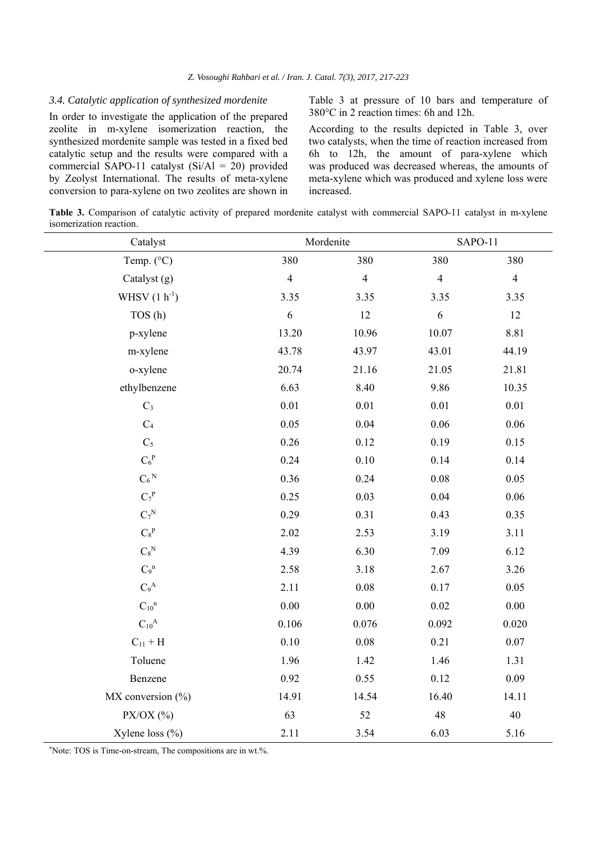#### *3.4. Catalytic application of synthesized mordenite*

In order to investigate the application of the prepared zeolite in m-xylene isomerization reaction, the synthesized mordenite sample was tested in a fixed bed catalytic setup and the results were compared with a commercial SAPO-11 catalyst (Si/Al = 20) provided by Zeolyst International. The results of meta-xylene conversion to para-xylene on two zeolites are shown in Table 3 at pressure of 10 bars and temperature of 380°C in 2 reaction times: 6h and 12h.

According to the results depicted in Table 3, over two catalysts, when the time of reaction increased from 6h to 12h, the amount of para-xylene which was produced was decreased whereas, the amounts of meta-xylene which was produced and xylene loss were increased.

**Table 3.** Comparison of catalytic activity of prepared mordenite catalyst with commercial SAPO-11 catalyst in m-xylene isomerization reaction.

| Catalyst                    | Mordenite      |                | SAPO-11        |                |  |
|-----------------------------|----------------|----------------|----------------|----------------|--|
| Temp. (°C)                  | 380            | 380            | 380            | 380            |  |
| Catalyst (g)                | $\overline{4}$ | $\overline{4}$ | $\overline{4}$ | $\overline{4}$ |  |
| WHSV $(1 h^{-1})$           | 3.35           | 3.35           | 3.35           | 3.35           |  |
| TOS (h)                     | $\sqrt{6}$     | 12             | $\sqrt{6}$     | 12             |  |
| p-xylene                    | 13.20          | 10.96          | 10.07          | 8.81           |  |
| m-xylene                    | 43.78          | 43.97          | 43.01          | 44.19          |  |
| o-xylene                    | 20.74          | 21.16          | 21.05          | 21.81          |  |
| ethylbenzene                | 6.63           | 8.40           | 9.86           | 10.35          |  |
| $\mathrm{C}_3$              | 0.01           | $0.01\,$       | $0.01\,$       | $0.01\,$       |  |
| $\mathrm{C}_4$              | 0.05           | 0.04           | $0.06\,$       | $0.06\,$       |  |
| $C_5$                       | $0.26\,$       | 0.12           | 0.19           | 0.15           |  |
| $C_6^P$                     | 0.24           | $0.10\,$       | 0.14           | 0.14           |  |
| $\mathrm{C_6}^{\mathrm{N}}$ | 0.36           | 0.24           | 0.08           | 0.05           |  |
| $C_7^P$                     | 0.25           | 0.03           | 0.04           | $0.06\,$       |  |
| $C_7^N$                     | 0.29           | 0.31           | 0.43           | 0.35           |  |
| $\mathrm{C_8}^\mathrm{P}$   | 2.02           | 2.53           | 3.19           | 3.11           |  |
| $\mathrm{C_8}^\mathrm{N}$   | 4.39           | 6.30           | 7.09           | 6.12           |  |
| $C_9$ <sup>n</sup>          | 2.58           | 3.18           | 2.67           | 3.26           |  |
| $C_9^A$                     | 2.11           | $0.08\,$       | $0.17\,$       | 0.05           |  |
| $C_{10}$ <sup>n</sup>       | $0.00\,$       | $0.00\,$       | 0.02           | $0.00\,$       |  |
| $C_{10}{}^A$                | 0.106          | 0.076          | 0.092          | 0.020          |  |
| $C_{11}$ + H                | $0.10\,$       | $0.08\,$       | 0.21           | $0.07\,$       |  |
| Toluene                     | 1.96           | 1.42           | 1.46           | 1.31           |  |
| Benzene                     | 0.92           | 0.55           | 0.12           | 0.09           |  |
| $MX$ conversion $(\% )$     | 14.91          | 14.54          | 16.40          | 14.11          |  |
| $PX/OX$ (%)                 | 63             | 52             | $48\,$         | $40\,$         |  |
| Xylene loss $(\% )$         | 2.11           | 3.54           | 6.03           | 5.16           |  |

\* Note: TOS is Time-on-stream, The compositions are in wt.%.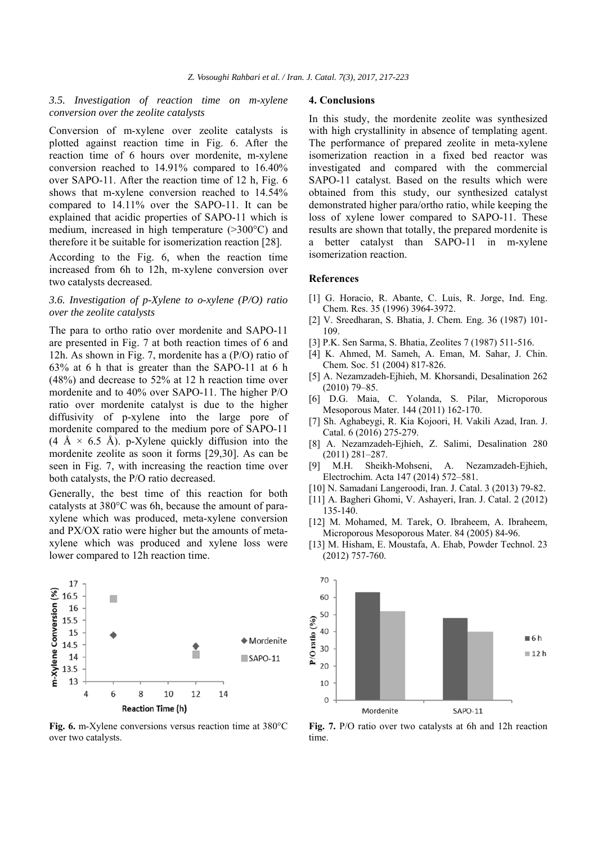# *3.5. Investigation of reaction time on m-xylene conversion over the zeolite catalysts*

Conversion of m-xylene over zeolite catalysts is plotted against reaction time in Fig. 6. After the reaction time of 6 hours over mordenite, m-xylene conversion reached to 14.91% compared to 16.40% over SAPO-11. After the reaction time of 12 h, Fig. 6 shows that m-xylene conversion reached to 14.54% compared to 14.11% over the SAPO-11. It can be explained that acidic properties of SAPO-11 which is medium, increased in high temperature (>300°C) and therefore it be suitable for isomerization reaction [28].

According to the Fig. 6, when the reaction time increased from 6h to 12h, m-xylene conversion over two catalysts decreased.

### *3.6. Investigation of p-Xylene to o-xylene (P/O) ratio over the zeolite catalysts*

The para to ortho ratio over mordenite and SAPO-11 are presented in Fig. 7 at both reaction times of 6 and 12h. As shown in Fig. 7, mordenite has a (P/O) ratio of 63% at 6 h that is greater than the SAPO-11 at 6 h (48%) and decrease to 52% at 12 h reaction time over mordenite and to 40% over SAPO-11. The higher P/O ratio over mordenite catalyst is due to the higher diffusivity of p-xylene into the large pore of mordenite compared to the medium pore of SAPO-11  $(4 \text{ Å} \times 6.5 \text{ Å})$ . p-Xylene quickly diffusion into the mordenite zeolite as soon it forms [29,30]. As can be seen in Fig. 7, with increasing the reaction time over both catalysts, the P/O ratio decreased.

Generally, the best time of this reaction for both catalysts at 380°C was 6h, because the amount of paraxylene which was produced, meta-xylene conversion and PX/OX ratio were higher but the amounts of metaxylene which was produced and xylene loss were lower compared to 12h reaction time.



**Fig. 6.** m-Xylene conversions versus reaction time at 380°C over two catalysts.

#### **4. Conclusions**

In this study, the mordenite zeolite was synthesized with high crystallinity in absence of templating agent. The performance of prepared zeolite in meta-xylene isomerization reaction in a fixed bed reactor was investigated and compared with the commercial SAPO-11 catalyst. Based on the results which were obtained from this study, our synthesized catalyst demonstrated higher para/ortho ratio, while keeping the loss of xylene lower compared to SAPO-11. These results are shown that totally, the prepared mordenite is a better catalyst than SAPO-11 in m-xylene isomerization reaction.

## **References**

- [1] G. Horacio, R. Abante, C. Luis, R. Jorge, Ind. Eng. Chem. Res. 35 (1996) 3964-3972.
- [2] V. Sreedharan, S. Bhatia, J. Chem. Eng. 36 (1987) 101- 109.
- [3] P.K. Sen Sarma, S. Bhatia, Zeolites 7 (1987) 511-516.
- [4] K. Ahmed, M. Sameh, A. Eman, M. Sahar, J. Chin. Chem. Soc. 51 (2004) 817-826.
- [5] A. Nezamzadeh-Ejhieh, M. Khorsandi, Desalination 262 (2010) 79–85.
- [6] D.G. Maia, C. Yolanda, S. Pilar, Microporous Mesoporous Mater. 144 (2011) 162-170.
- [7] Sh. Aghabeygi, R. Kia Kojoori, H. Vakili Azad, Iran. J. Catal. 6 (2016) 275-279.
- [8] A. Nezamzadeh-Ejhieh, Z. Salimi, Desalination 280 (2011) 281–287.
- [9] M.H. Sheikh-Mohseni, A. Nezamzadeh-Ejhieh, Electrochim. Acta 147 (2014) 572–581.
- [10] N. Samadani Langeroodi, Iran. J. Catal. 3 (2013) 79-82.
- [11] A. Bagheri Ghomi, V. Ashayeri, Iran. J. Catal. 2 (2012) 135-140.
- [12] M. Mohamed, M. Tarek, O. Ibraheem, A. Ibraheem, Microporous Mesoporous Mater. 84 (2005) 84-96.
- [13] M. Hisham, E. Moustafa, A. Ehab, Powder Technol. 23 (2012) 757-760.



**Fig. 7.** P/O ratio over two catalysts at 6h and 12h reaction time.